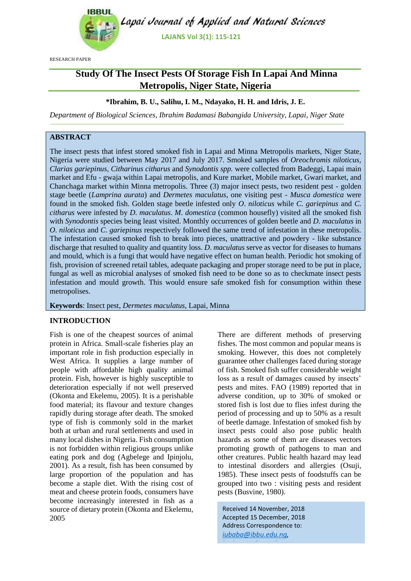

RESEARCH PAPER

# **Study Of The Insect Pests Of Storage Fish In Lapai And Minna Metropolis, Niger State, Nigeria**

## **\*Ibrahim, B. U., Salihu, I. M., Ndayako, H. H. and Idris, J. E.**

*Department of Biological Sciences, Ibrahim Badamasi Babangida University, Lapai, Niger State*

## **ABSTRACT**

The insect pests that infest stored smoked fish in Lapai and Minna Metropolis markets, Niger State, Nigeria were studied between May 2017 and July 2017. Smoked samples of *Oreochromis niloticus*, *Clarias gariepinus*, *Citharinus citharus* and *Synodontis spp.* were collected from Badeggi, Lapai main market and Efu - gwaja within Lapai metropolis, and Kure market, Mobile market, Gwari market, and Chanchaga market within Minna metropolis. Three (3) major insect pests, two resident pest - golden stage beetle (*Lamprina aurata*) and *Dermetes maculatus*, one visiting pest - *Musca domestica* were found in the smoked fish. Golden stage beetle infested only *O*. *niloticus* while *C*. *gariepinus* and *C*. *citharus* were infested by *D*. *maculatus*. *M*. *domestica* (common housefly) visited all the smoked fish with *Synodontis* species being least visited. Monthly occurrences of golden beetle and *D*. *maculatus* in *O*. *niloticus* and *C*. *gariepinus* respectively followed the same trend of infestation in these metropolis. The infestation caused smoked fish to break into pieces, unattractive and powdery - like substance discharge that resulted to quality and quantity loss. *D*. *maculatus* serve as vector for diseases to humans and mould, which is a fungi that would have negative effect on human health. Periodic hot smoking of fish, provision of screened retail tables, adequate packaging and proper storage need to be put in place, fungal as well as microbial analyses of smoked fish need to be done so as to checkmate insect pests infestation and mould growth. This would ensure safe smoked fish for consumption within these metropolises.

**Keywords**: Insect pest, *Dermetes maculatus*, Lapai, Minna

#### **INTRODUCTION**

Fish is one of the cheapest sources of animal protein in Africa. Small-scale fisheries play an important role in fish production especially in West Africa. It supplies a large number of people with affordable high quality animal protein. Fish, however is highly susceptible to deterioration especially if not well preserved (Okonta and Ekelemu, 2005). It is a perishable food material; its flavour and texture changes rapidly during storage after death. The smoked type of fish is commonly sold in the market both at urban and rural settlements and used in many local dishes in Nigeria. Fish consumption is not forbidden within religious groups unlike eating pork and dog (Agbelege and Ipinjolu, 2001). As a result, fish has been consumed by large proportion of the population and has become a staple diet. With the rising cost of meat and cheese protein foods, consumers have become increasingly interested in fish as a source of dietary protein (Okonta and Ekelemu, 2005

There are different methods of preserving fishes. The most common and popular means is smoking. However, this does not completely guarantee other challenges faced during storage of fish. Smoked fish suffer considerable weight loss as a result of damages caused by insects' pests and mites. FAO (1989) reported that in adverse condition, up to 30% of smoked or stored fish is lost due to flies infest during the period of processing and up to 50% as a result of beetle damage. Infestation of smoked fish by insect pests could also pose public health hazards as some of them are diseases vectors promoting growth of pathogens to man and other creatures. Public health hazard may lead to intestinal disorders and allergies (Osuji, 1985). These insect pests of foodstuffs can be grouped into two : visiting pests and resident pests (Busvine, 1980).

Received 14 November, 2018 Accepted 15 December, 2018 Address Correspondence to: *[iubaba@ibbu.edu.ng,](mailto:iubaba@ibbu.edu.ng)* 

*[bndanusa@gmail.com](mailto:bndanusa@gmail.com)*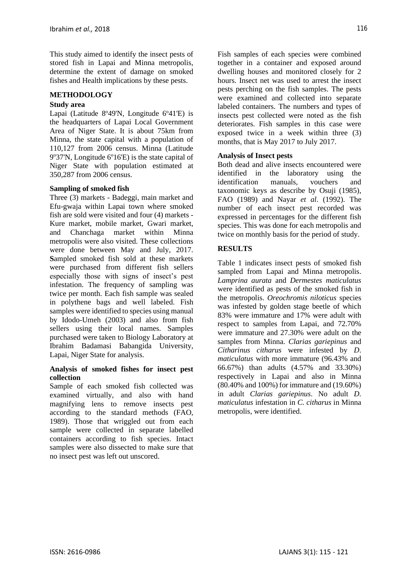This study aimed to identify the insect pests of stored fish in Lapai and Minna metropolis, determine the extent of damage on smoked fishes and Health implications by these pests.

### **METHODOLOGY**

#### **Study area**

Lapai (Latitude 8°49'N, Longitude 6°41'E) is the headquarters of Lapai Local Government Area of Niger State. It is about 75km from Minna, the state capital with a population of 110,127 from 2006 census. Minna (Latitude 9°37'N, Longitude 6°16'E) is the state capital of Niger State with population estimated at 350,287 from 2006 census.

#### **Sampling of smoked fish**

Three (3) markets - Badeggi, main market and Efu-gwaja within Lapai town where smoked fish are sold were visited and four (4) markets - Kure market, mobile market, Gwari market, and Chanchaga market within Minna metropolis were also visited. These collections were done between May and July, 2017. **S**ampled smoked fish sold at these markets were purchased from different fish sellers especially those with signs of insect's pest infestation. The frequency of sampling was twice per month. Each fish sample was sealed in polythene bags and well labeled. Fish samples were identified to species using manual by Idodo-Umeh (2003) and also from fish sellers using their local names. Samples purchased were taken to Biology Laboratory at Ibrahim Badamasi Babangida University, Lapai, Niger State for analysis.

#### **Analysis of smoked fishes for insect pest collection**

Sample of each smoked fish collected was examined virtually, and also with hand magnifying lens to remove insects pest according to the standard methods (FAO, 1989). Those that wriggled out from each sample were collected in separate labelled containers according to fish species. Intact samples were also dissected to make sure that no insect pest was left out unscored.

Fish samples of each species were combined together in a container and exposed around dwelling houses and monitored closely for 2 hours. Insect net was used to arrest the insect pests perching on the fish samples. The pests were examined and collected into separate labeled containers. The numbers and types of insects pest collected were noted as the fish deteriorates. Fish samples in this case were exposed twice in a week within three (3) months, that is May 2017 to July 2017.

## **Analysis of Insect pests**

Both dead and alive insects encountered were identified in the laboratory using the identification manuals, vouchers and taxonomic keys as describe by Osuji (1985), FAO (1989) and Nayar *et al*. (1992). The number of each insect pest recorded was expressed in percentages for the different fish species. This was done for each metropolis and twice on monthly basis for the period of study.

## **RESULTS**

Table 1 indicates insect pests of smoked fish sampled from Lapai and Minna metropolis. *Lamprina aurata* and *Dermestes maticulatus* were identified as pests of the smoked fish in the metropolis. *Oreochromis niloticus* species was infested by golden stage beetle of which 83% were immature and 17% were adult with respect to samples from Lapai, and 72.70% were immature and 27.30% were adult on the samples from Minna. *Clarias gariepinus* and *Citharinus citharus* were infested by *D*. *maticulatus* with more immature (96.43% and 66.67%) than adults (4.57% and 33.30%) respectively in Lapai and also in Minna (80.40% and 100%) for immature and (19.60%) in adult *Clarias gariepinus*. No adult *D*. *maticulatus* infestation in *C*. *citharus* in Minna metropolis, were identified.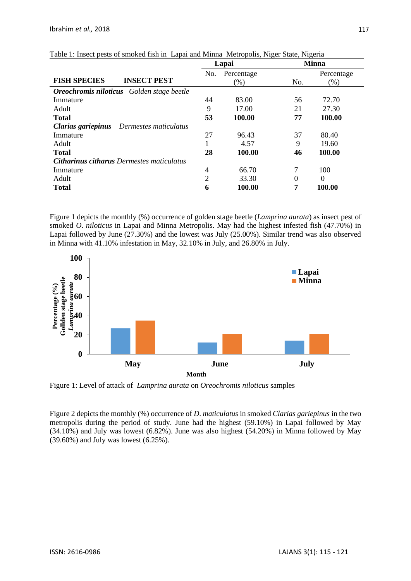|                                                  | Lapai          |            | <b>Minna</b>     |                  |
|--------------------------------------------------|----------------|------------|------------------|------------------|
|                                                  | No.            | Percentage |                  | Percentage       |
| <b>FISH SPECIES</b><br><b>INSECT PEST</b>        |                | (% )       | No.              | $(\%)$           |
| <b>Oreochromis niloticus</b> Golden stage beetle |                |            |                  |                  |
| Immature                                         | 44             | 83.00      | 56               | 72.70            |
| Adult                                            | 9              | 17.00      | 21               | 27.30            |
| <b>Total</b>                                     | 53             | 100.00     | 77               | 100.00           |
| Clarias gariepinus<br>Dermestes maticulatus      |                |            |                  |                  |
| Immature                                         | 27             | 96.43      | 37               | 80.40            |
| Adult                                            |                | 4.57       | 9                | 19.60            |
| <b>Total</b>                                     | 28             | 100.00     | 46               | 100.00           |
| <b>Citharinus citharus Dermestes maticulatus</b> |                |            |                  |                  |
| Immature                                         | 4              | 66.70      | 7                | 100              |
| Adult                                            | $\overline{2}$ | 33.30      | $\boldsymbol{0}$ | $\boldsymbol{0}$ |
| <b>Total</b>                                     | n              | 100.00     | 7                | 100.00           |

|  | Table 1: Insect pests of smoked fish in Lapai and Minna Metropolis, Niger State, Nigeria |  |
|--|------------------------------------------------------------------------------------------|--|
|  |                                                                                          |  |

Figure 1 depicts the monthly (%) occurrence of golden stage beetle (*Lamprina aurata*) as insect pest of smoked *O*. *niloticus* in Lapai and Minna Metropolis. May had the highest infested fish (47.70%) in Lapai followed by June (27.30%) and the lowest was July (25.00%). Similar trend was also observed in Minna with 41.10% infestation in May, 32.10% in July, and 26.80% in July.



Figure 1: Level of attack of *Lamprina aurata* on *Oreochromis niloticus* samples

Figure 2 depicts the monthly (%) occurrence of *D*. *maticulatus* in smoked *Clarias gariepinus* in the two metropolis during the period of study. June had the highest (59.10%) in Lapai followed by May (34.10%) and July was lowest (6.82%). June was also highest (54.20%) in Minna followed by May (39.60%) and July was lowest (6.25%).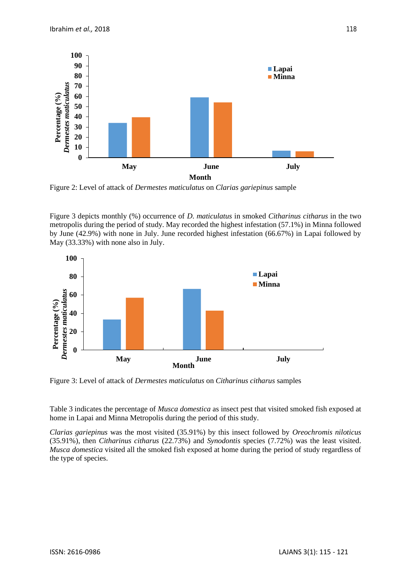

Figure 2: Level of attack of *Dermestes maticulatus* on *Clarias gariepinus* sample

Figure 3 depicts monthly (%) occurrence of *D*. *maticulatus* in smoked *Citharinus citharus* in the two metropolis during the period of study. May recorded the highest infestation (57.1%) in Minna followed by June (42.9%) with none in July. June recorded highest infestation (66.67%) in Lapai followed by May (33.33%) with none also in July.



Figure 3: Level of attack of *Dermestes maticulatus* on *Citharinus citharus* samples

Table 3 indicates the percentage of *Musca domestica* as insect pest that visited smoked fish exposed at home in Lapai and Minna Metropolis during the period of this study.

*Clarias gariepinus* was the most visited (35.91%) by this insect followed by *Oreochromis niloticus* (35.91%), then *Citharinus citharus* (22.73%) and *Synodontis* species (7.72%) was the least visited. *Musca domestica* visited all the smoked fish exposed at home during the period of study regardless of the type of species.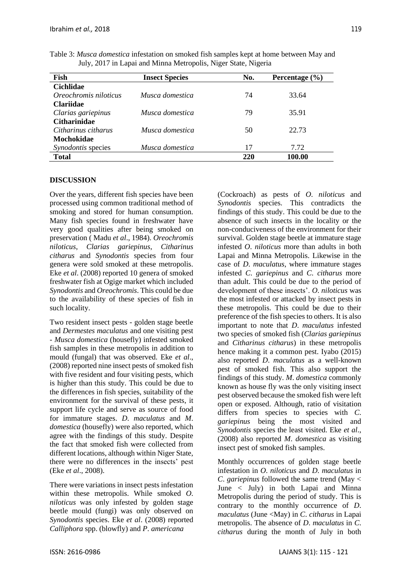| Fish                  | <b>Insect Species</b> | No. | Percentage $(\% )$ |
|-----------------------|-----------------------|-----|--------------------|
| <b>Cichlidae</b>      |                       |     |                    |
| Oreochromis niloticus | Musca domestica       | 74  | 33.64              |
| <b>Clariidae</b>      |                       |     |                    |
| Clarias gariepinus    | Musca domestica       | 79  | 35.91              |
| <b>Citharinidae</b>   |                       |     |                    |
| Citharinus citharus   | Musca domestica       | 50  | 22.73              |
| Mochokidae            |                       |     |                    |
| Synodontis species    | Musca domestica       | 17  | 7.72               |
| <b>Total</b>          |                       | 220 | 100.00             |

Table 3: *Musca domestica* infestation on smoked fish samples kept at home between May and July, 2017 in Lapai and Minna Metropolis, Niger State, Nigeria

## **DISCUSSION**

Over the years, different fish species have been processed using common traditional method of smoking and stored for human consumption. Many fish species found in freshwater have very good qualities after being smoked on preservation ( Madu *et al*., 1984). *Oreochromis niloticus*, *Clarias gariepinus*, *Citharinus citharus* and *Synodontis* species from four genera were sold smoked at these metropolis. Eke *et al*. (2008) reported 10 genera of smoked freshwater fish at Ogige market which included *Synodontis* and *Oreochromis*. This could be due to the availability of these species of fish in such locality.

Two resident insect pests - golden stage beetle and *Dermestes maculatus* and one visiting pest - *Musca domestica* (housefly) infested smoked fish samples in these metropolis in addition to mould (fungal) that was observed. Eke *et al*., (2008) reported nine insect pests of smoked fish with five resident and four visiting pests, which is higher than this study. This could be due to the differences in fish species, suitability of the environment for the survival of these pests, it support life cycle and serve as source of food for immature stages. *D*. *maculatus* and *M*. *domestica* (housefly) were also reported, which agree with the findings of this study. Despite the fact that smoked fish were collected from different locations, although within Niger State, there were no differences in the insects' pest (Eke *et al*., 2008).

There were variations in insect pests infestation within these metropolis. While smoked *O*. *niloticus* was only infested by golden stage beetle mould (fungi) was only observed on *Synodontis* species. Eke *et al*. (2008) reported *Calliphora* spp. (blowfly) and *P*. *americana* 

(Cockroach) as pests of *O*. *niloticus* and *Synodontis* species. This contradicts the findings of this study. This could be due to the absence of such insects in the locality or the non-conduciveness of the environment for their survival. Golden stage beetle at immature stage infested *O*. *niloticus* more than adults in both Lapai and Minna Metropolis. Likewise in the case of *D*. *maculatus*, where immature stages infested *C*. *gariepinus* and *C*. *citharus* more than adult. This could be due to the period of development of these insects'. *O*. *niloticus* was the most infested or attacked by insect pests in these metropolis. This could be due to their preference of the fish species to others. It is also important to note that *D*. *maculatus* infested two species of smoked fish (*Clarias gariepinus* and *Citharinus citharus*) in these metropolis hence making it a common pest. Iyabo (2015) also reported *D*. *maculatus* as a well-known pest of smoked fish. This also support the findings of this study. *M*. *domestica* commonly known as house fly was the only visiting insect pest observed because the smoked fish were left open or exposed. Although, ratio of visitation differs from species to species with *C*. *gariepinus* being the most visited and *Synodontis* species the least visited. Eke *et al*., (2008) also reported *M*. *domestica* as visiting insect pest of smoked fish samples.

Monthly occurrences of golden stage beetle infestation in *O*. *niloticus* and *D*. *maculatus* in *C*. *gariepinus* followed the same trend (May < June < July) in both Lapai and Minna Metropolis during the period of study. This is contrary to the monthly occurrence of *D*. *maculatus* (June <May) in *C*. *citharus* in Lapai metropolis. The absence of *D*. *maculatus* in *C*. *citharus* during the month of July in both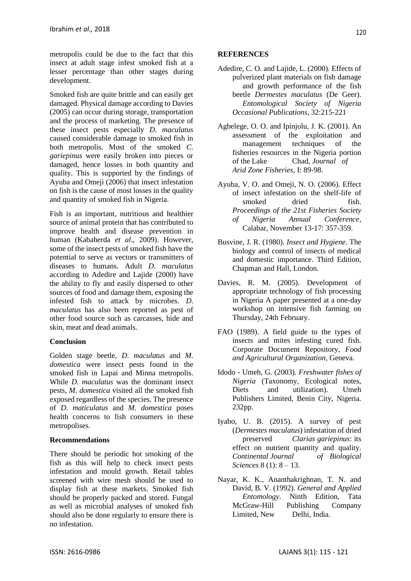metropolis could be due to the fact that this insect at adult stage infest smoked fish at a lesser percentage than other stages during development.

Smoked fish are quite brittle and can easily get damaged. Physical damage according to Davies (2005) can occur during storage, transportation and the process of marketing. The presence of these insect pests especially *D*. *maculatus* caused considerable damage to smoked fish in both metropolis. Most of the smoked *C*. *gariepinus* were easily broken into pieces or damaged, hence losses in both quantity and quality. This is supported by the findings of Ayuba and Omeji (2006) that insect infestation on fish is the cause of most losses in the quality and quantity of smoked fish in Nigeria.

Fish is an important, nutritious and healthier source of animal protein that has contributed to improve health and disease prevention in human (Kabaherda *et al*., 2009). However, some of the insect pests of smoked fish have the potential to serve as vectors or transmitters of diseases to humans. Adult *D*. *maculatus* according to Adedire and Lajide (2000) have the ability to fly and easily dispersed to other sources of food and damage them, exposing the infested fish to attack by microbes. *D*. *maculatus* has also been reported as pest of other food source such as carcasses, hide and skin, meat and dead animals.

## **Conclusion**

Golden stage beetle, *D*. *maculatus* and *M*. *domestica* were insect pests found in the smoked fish in Lapai and Minna metropolis. While *D*. *maculatus* was the dominant insect pests, *M*. *domestica* visited all the smoked fish exposed regardless of the species. The presence of *D*. *maticulatus* and *M*. *domestica* poses health concerns to fish consumers in these metropolises.

#### **Recommendations**

There should be periodic hot smoking of the fish as this will help to check insect pests infestation and mould growth. Retail tables screened with wire mesh should be used to display fish at these markets. Smoked fish should be properly packed and stored. Fungal as well as microbial analyses of smoked fish should also be done regularly to ensure there is no infestation.

#### **REFERENCES**

- Adedire, C. O. and Lajide, L. (2000). Effects of pulverized plant materials on fish damage and growth performance of the fish beetle *Dermestes maculatus* (De Geer). *Entomological Society of Nigeria Occasional Publications*, 32:215-221
- Agbelege, O. O. and Ipinjolu, J. K. (2001). An assessment of the exploitation and management techniques of the fisheries resources in the Nigeria portion of the Lake Chad*, Journal of Arid Zone Fisheries*, I: 89-98.
- Ayuba, V. O. and Omeji, N. O. (2006). Effect of insect infestation on the shelf-life of smoked dried fish. *Proceedings of the 21st Fisheries Society of Nigeria Annual Conference*, Calabar, November 13-17: 357-359.
- Busvine, J. R. (1980). *Insect and Hygiene*. The biology and control of insects of medical and domestic importance. Third Edition, Chapman and Hall, London.
- Davies, R. M. (2005). Development of appropriate technology of fish processing in Nigeria A paper presented at a one-day workshop on intensive fish farming on Thursday, 24th February.
- FAO (1989). A field guide to the types of insects and mites infesting cured fish. Corporate Document Repository, *Food and Agricultural Organization*, Geneva.
- Idodo Umeh, G. (2003). *Freshwater fishes of Nigeria* (Taxonomy, Ecological notes, Diets and utilization). Umeh Publishers Limited, Benin City, Nigeria. 232pp.
- Iyabo, U. B. (2015). A survey of pest (*Dermestes maculatus*) infestation of dried preserved *Clarias gariepinus*: its effect on nutrient quantity and quality. *Continental Journal of Biological Sciences* 8 (1): 8 – 13.
- Nayar, K. K., Ananthakrighnan, T. N. and David, B. V. (1992). *General and Applied Entomology*. Ninth Edition, Tata McGraw-Hill Publishing Company Limited, New Delhi, India.